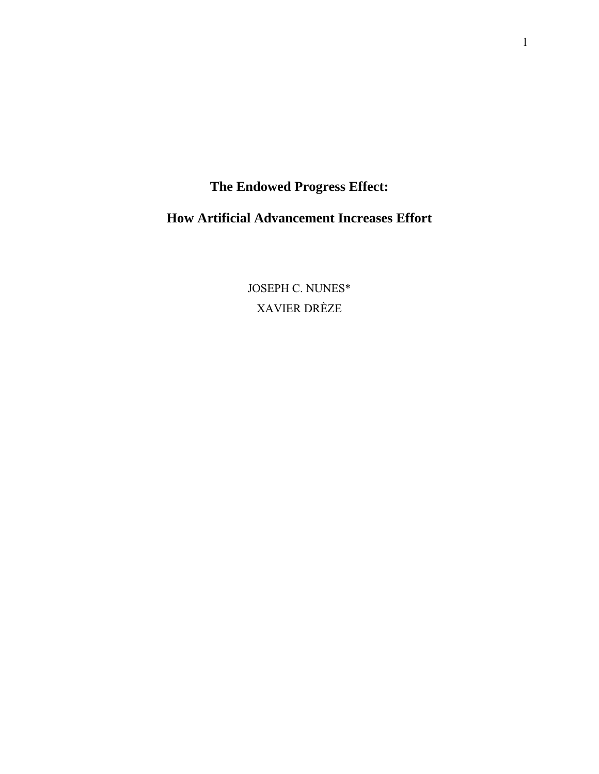**The Endowed Progress Effect:** 

**How Artificial Advancement Increases Effort** 

JOSEPH C. NUNES\* XAVIER DRÈZE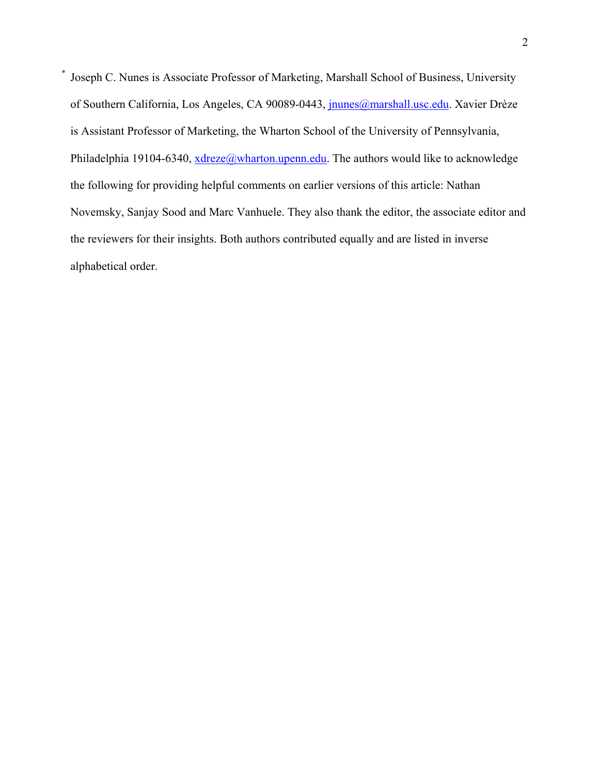\* Joseph C. Nunes is Associate Professor of Marketing, Marshall School of Business, University of Southern California, Los Angeles, CA 90089-0443, *jnunes@marshall.usc.edu*. Xavier Drèze is Assistant Professor of Marketing, the Wharton School of the University of Pennsylvania, Philadelphia 19104-6340, xdreze@wharton.upenn.edu. The authors would like to acknowledge the following for providing helpful comments on earlier versions of this article: Nathan Novemsky, Sanjay Sood and Marc Vanhuele. They also thank the editor, the associate editor and the reviewers for their insights. Both authors contributed equally and are listed in inverse alphabetical order.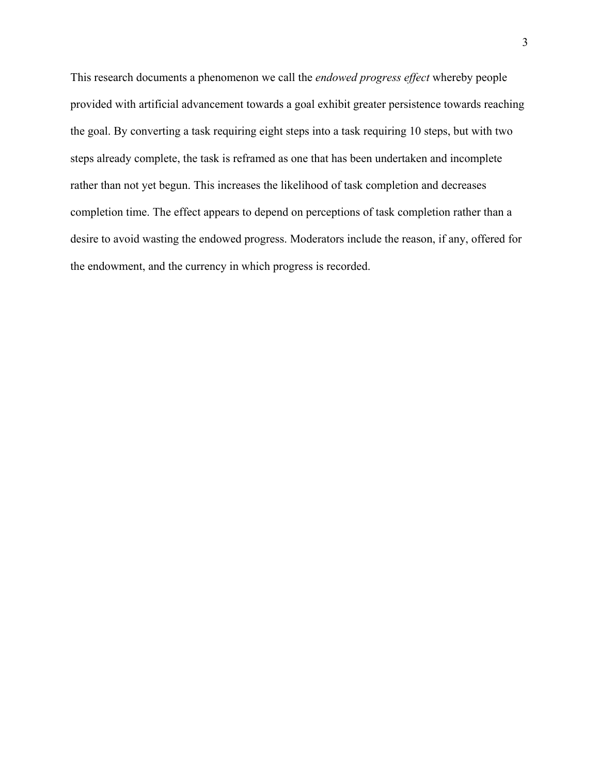This research documents a phenomenon we call the *endowed progress effect* whereby people provided with artificial advancement towards a goal exhibit greater persistence towards reaching the goal. By converting a task requiring eight steps into a task requiring 10 steps, but with two steps already complete, the task is reframed as one that has been undertaken and incomplete rather than not yet begun. This increases the likelihood of task completion and decreases completion time. The effect appears to depend on perceptions of task completion rather than a desire to avoid wasting the endowed progress. Moderators include the reason, if any, offered for the endowment, and the currency in which progress is recorded.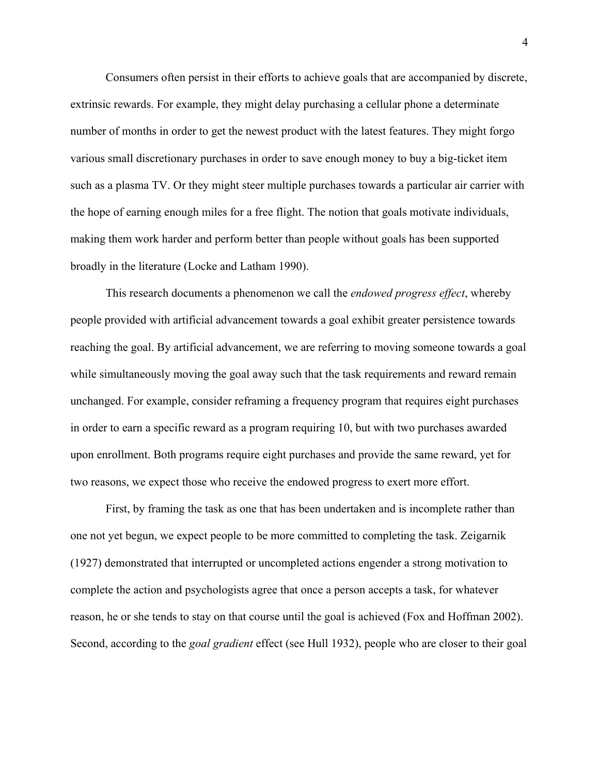Consumers often persist in their efforts to achieve goals that are accompanied by discrete, extrinsic rewards. For example, they might delay purchasing a cellular phone a determinate number of months in order to get the newest product with the latest features. They might forgo various small discretionary purchases in order to save enough money to buy a big-ticket item such as a plasma TV. Or they might steer multiple purchases towards a particular air carrier with the hope of earning enough miles for a free flight. The notion that goals motivate individuals, making them work harder and perform better than people without goals has been supported broadly in the literature (Locke and Latham 1990).

This research documents a phenomenon we call the *endowed progress effect*, whereby people provided with artificial advancement towards a goal exhibit greater persistence towards reaching the goal. By artificial advancement, we are referring to moving someone towards a goal while simultaneously moving the goal away such that the task requirements and reward remain unchanged. For example, consider reframing a frequency program that requires eight purchases in order to earn a specific reward as a program requiring 10, but with two purchases awarded upon enrollment. Both programs require eight purchases and provide the same reward, yet for two reasons, we expect those who receive the endowed progress to exert more effort.

First, by framing the task as one that has been undertaken and is incomplete rather than one not yet begun, we expect people to be more committed to completing the task. Zeigarnik (1927) demonstrated that interrupted or uncompleted actions engender a strong motivation to complete the action and psychologists agree that once a person accepts a task, for whatever reason, he or she tends to stay on that course until the goal is achieved (Fox and Hoffman 2002). Second, according to the *goal gradient* effect (see Hull 1932), people who are closer to their goal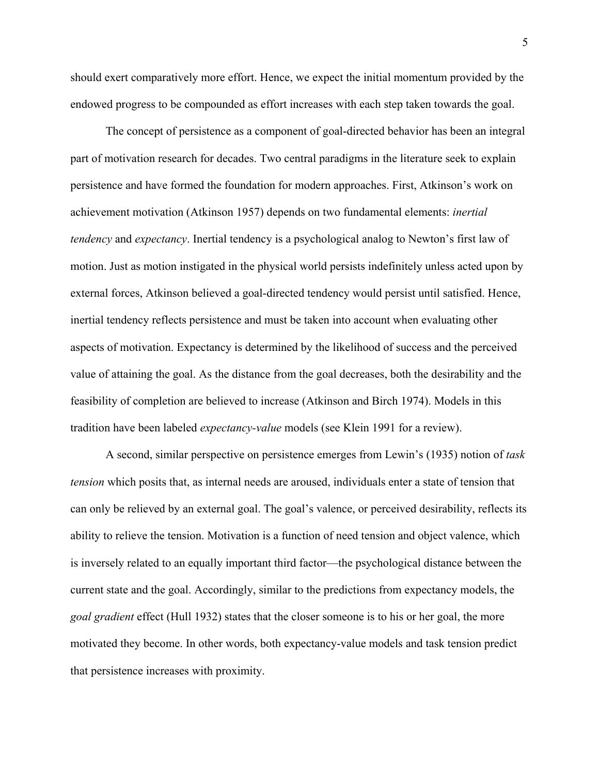should exert comparatively more effort. Hence, we expect the initial momentum provided by the endowed progress to be compounded as effort increases with each step taken towards the goal.

The concept of persistence as a component of goal-directed behavior has been an integral part of motivation research for decades. Two central paradigms in the literature seek to explain persistence and have formed the foundation for modern approaches. First, Atkinson's work on achievement motivation (Atkinson 1957) depends on two fundamental elements: *inertial tendency* and *expectancy*. Inertial tendency is a psychological analog to Newton's first law of motion. Just as motion instigated in the physical world persists indefinitely unless acted upon by external forces, Atkinson believed a goal-directed tendency would persist until satisfied. Hence, inertial tendency reflects persistence and must be taken into account when evaluating other aspects of motivation. Expectancy is determined by the likelihood of success and the perceived value of attaining the goal. As the distance from the goal decreases, both the desirability and the feasibility of completion are believed to increase (Atkinson and Birch 1974). Models in this tradition have been labeled *expectancy-value* models (see Klein 1991 for a review).

A second, similar perspective on persistence emerges from Lewin's (1935) notion of *task tension* which posits that, as internal needs are aroused, individuals enter a state of tension that can only be relieved by an external goal. The goal's valence, or perceived desirability, reflects its ability to relieve the tension. Motivation is a function of need tension and object valence, which is inversely related to an equally important third factor—the psychological distance between the current state and the goal. Accordingly, similar to the predictions from expectancy models, the *goal gradient* effect (Hull 1932) states that the closer someone is to his or her goal, the more motivated they become. In other words, both expectancy-value models and task tension predict that persistence increases with proximity.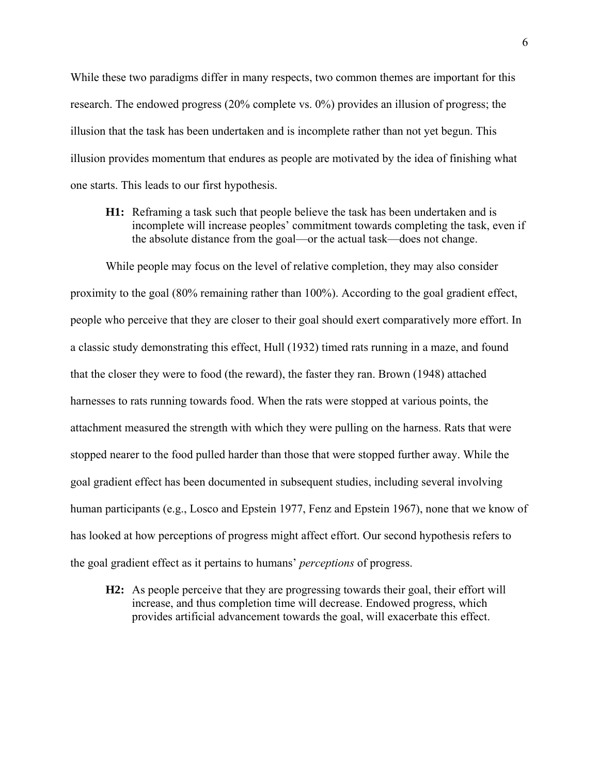While these two paradigms differ in many respects, two common themes are important for this research. The endowed progress (20% complete vs. 0%) provides an illusion of progress; the illusion that the task has been undertaken and is incomplete rather than not yet begun. This illusion provides momentum that endures as people are motivated by the idea of finishing what one starts. This leads to our first hypothesis.

**H1:** Reframing a task such that people believe the task has been undertaken and is incomplete will increase peoples' commitment towards completing the task, even if the absolute distance from the goal—or the actual task—does not change.

While people may focus on the level of relative completion, they may also consider proximity to the goal (80% remaining rather than 100%). According to the goal gradient effect, people who perceive that they are closer to their goal should exert comparatively more effort. In a classic study demonstrating this effect, Hull (1932) timed rats running in a maze, and found that the closer they were to food (the reward), the faster they ran. Brown (1948) attached harnesses to rats running towards food. When the rats were stopped at various points, the attachment measured the strength with which they were pulling on the harness. Rats that were stopped nearer to the food pulled harder than those that were stopped further away. While the goal gradient effect has been documented in subsequent studies, including several involving human participants (e.g., Losco and Epstein 1977, Fenz and Epstein 1967), none that we know of has looked at how perceptions of progress might affect effort. Our second hypothesis refers to the goal gradient effect as it pertains to humans' *perceptions* of progress.

**H2:** As people perceive that they are progressing towards their goal, their effort will increase, and thus completion time will decrease. Endowed progress, which provides artificial advancement towards the goal, will exacerbate this effect.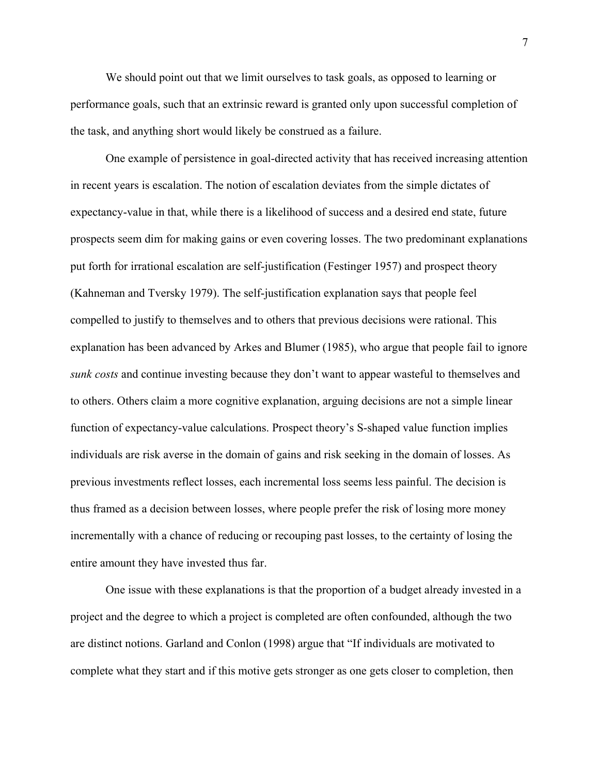We should point out that we limit ourselves to task goals, as opposed to learning or performance goals, such that an extrinsic reward is granted only upon successful completion of the task, and anything short would likely be construed as a failure.

One example of persistence in goal-directed activity that has received increasing attention in recent years is escalation. The notion of escalation deviates from the simple dictates of expectancy-value in that, while there is a likelihood of success and a desired end state, future prospects seem dim for making gains or even covering losses. The two predominant explanations put forth for irrational escalation are self-justification (Festinger 1957) and prospect theory (Kahneman and Tversky 1979). The self-justification explanation says that people feel compelled to justify to themselves and to others that previous decisions were rational. This explanation has been advanced by Arkes and Blumer (1985), who argue that people fail to ignore *sunk costs* and continue investing because they don't want to appear wasteful to themselves and to others. Others claim a more cognitive explanation, arguing decisions are not a simple linear function of expectancy-value calculations. Prospect theory's S-shaped value function implies individuals are risk averse in the domain of gains and risk seeking in the domain of losses. As previous investments reflect losses, each incremental loss seems less painful. The decision is thus framed as a decision between losses, where people prefer the risk of losing more money incrementally with a chance of reducing or recouping past losses, to the certainty of losing the entire amount they have invested thus far.

One issue with these explanations is that the proportion of a budget already invested in a project and the degree to which a project is completed are often confounded, although the two are distinct notions. Garland and Conlon (1998) argue that "If individuals are motivated to complete what they start and if this motive gets stronger as one gets closer to completion, then

7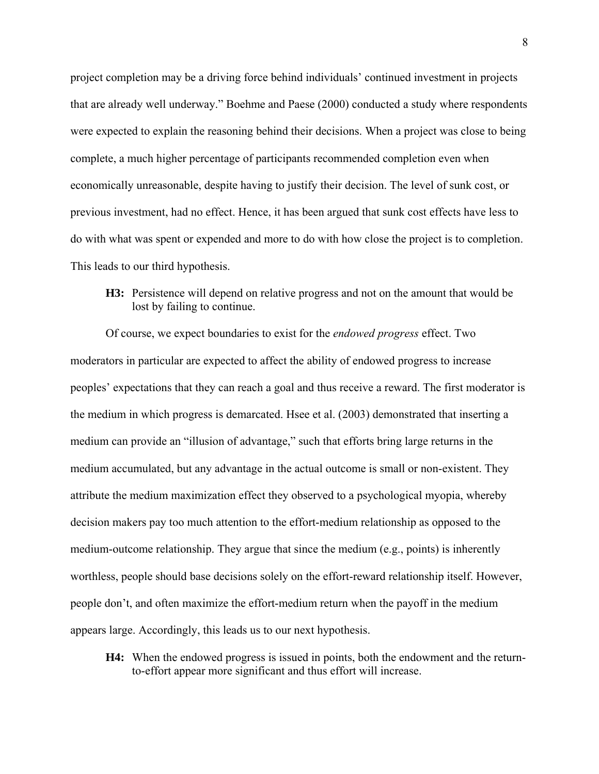project completion may be a driving force behind individuals' continued investment in projects that are already well underway." Boehme and Paese (2000) conducted a study where respondents were expected to explain the reasoning behind their decisions. When a project was close to being complete, a much higher percentage of participants recommended completion even when economically unreasonable, despite having to justify their decision. The level of sunk cost, or previous investment, had no effect. Hence, it has been argued that sunk cost effects have less to do with what was spent or expended and more to do with how close the project is to completion. This leads to our third hypothesis.

**H3:** Persistence will depend on relative progress and not on the amount that would be lost by failing to continue.

Of course, we expect boundaries to exist for the *endowed progress* effect. Two moderators in particular are expected to affect the ability of endowed progress to increase peoples' expectations that they can reach a goal and thus receive a reward. The first moderator is the medium in which progress is demarcated. Hsee et al. (2003) demonstrated that inserting a medium can provide an "illusion of advantage," such that efforts bring large returns in the medium accumulated, but any advantage in the actual outcome is small or non-existent. They attribute the medium maximization effect they observed to a psychological myopia, whereby decision makers pay too much attention to the effort-medium relationship as opposed to the medium-outcome relationship. They argue that since the medium (e.g., points) is inherently worthless, people should base decisions solely on the effort-reward relationship itself. However, people don't, and often maximize the effort-medium return when the payoff in the medium appears large. Accordingly, this leads us to our next hypothesis.

**H4:** When the endowed progress is issued in points, both the endowment and the returnto-effort appear more significant and thus effort will increase.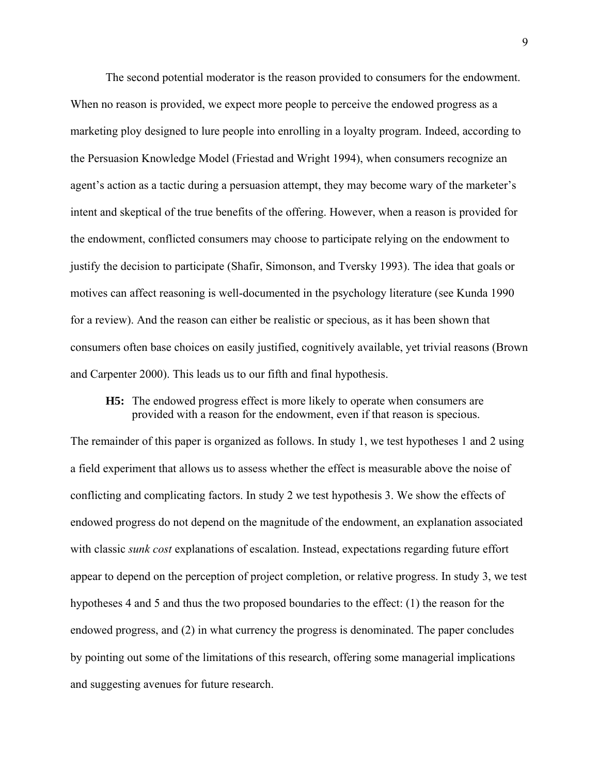The second potential moderator is the reason provided to consumers for the endowment. When no reason is provided, we expect more people to perceive the endowed progress as a marketing ploy designed to lure people into enrolling in a loyalty program. Indeed, according to the Persuasion Knowledge Model (Friestad and Wright 1994), when consumers recognize an agent's action as a tactic during a persuasion attempt, they may become wary of the marketer's intent and skeptical of the true benefits of the offering. However, when a reason is provided for the endowment, conflicted consumers may choose to participate relying on the endowment to justify the decision to participate (Shafir, Simonson, and Tversky 1993). The idea that goals or motives can affect reasoning is well-documented in the psychology literature (see Kunda 1990 for a review). And the reason can either be realistic or specious, as it has been shown that consumers often base choices on easily justified, cognitively available, yet trivial reasons (Brown and Carpenter 2000). This leads us to our fifth and final hypothesis.

## **H5:** The endowed progress effect is more likely to operate when consumers are provided with a reason for the endowment, even if that reason is specious.

The remainder of this paper is organized as follows. In study 1, we test hypotheses 1 and 2 using a field experiment that allows us to assess whether the effect is measurable above the noise of conflicting and complicating factors. In study 2 we test hypothesis 3. We show the effects of endowed progress do not depend on the magnitude of the endowment, an explanation associated with classic *sunk cost* explanations of escalation. Instead, expectations regarding future effort appear to depend on the perception of project completion, or relative progress. In study 3, we test hypotheses 4 and 5 and thus the two proposed boundaries to the effect: (1) the reason for the endowed progress, and (2) in what currency the progress is denominated. The paper concludes by pointing out some of the limitations of this research, offering some managerial implications and suggesting avenues for future research.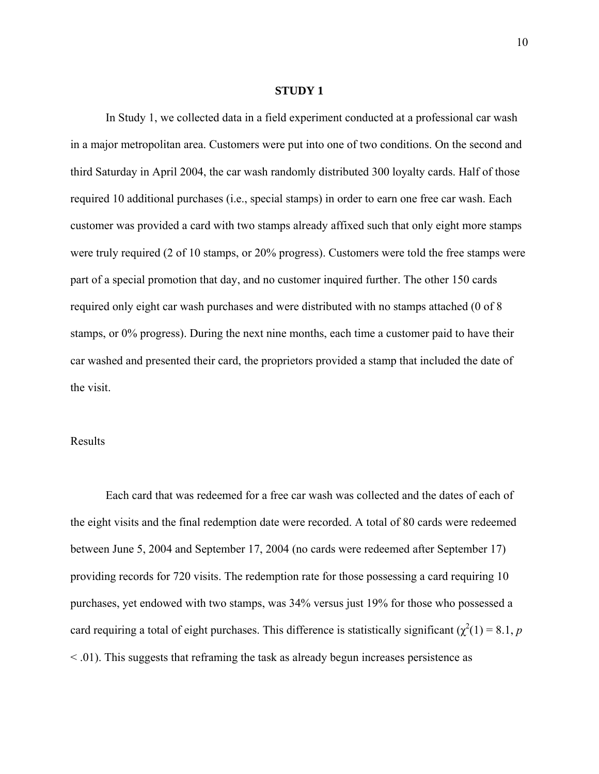#### **STUDY 1**

In Study 1, we collected data in a field experiment conducted at a professional car wash in a major metropolitan area. Customers were put into one of two conditions. On the second and third Saturday in April 2004, the car wash randomly distributed 300 loyalty cards. Half of those required 10 additional purchases (i.e., special stamps) in order to earn one free car wash. Each customer was provided a card with two stamps already affixed such that only eight more stamps were truly required (2 of 10 stamps, or 20% progress). Customers were told the free stamps were part of a special promotion that day, and no customer inquired further. The other 150 cards required only eight car wash purchases and were distributed with no stamps attached (0 of 8 stamps, or 0% progress). During the next nine months, each time a customer paid to have their car washed and presented their card, the proprietors provided a stamp that included the date of the visit.

## Results

Each card that was redeemed for a free car wash was collected and the dates of each of the eight visits and the final redemption date were recorded. A total of 80 cards were redeemed between June 5, 2004 and September 17, 2004 (no cards were redeemed after September 17) providing records for 720 visits. The redemption rate for those possessing a card requiring 10 purchases, yet endowed with two stamps, was 34% versus just 19% for those who possessed a card requiring a total of eight purchases. This difference is statistically significant ( $\chi^2(1) = 8.1$ , *p* < .01). This suggests that reframing the task as already begun increases persistence as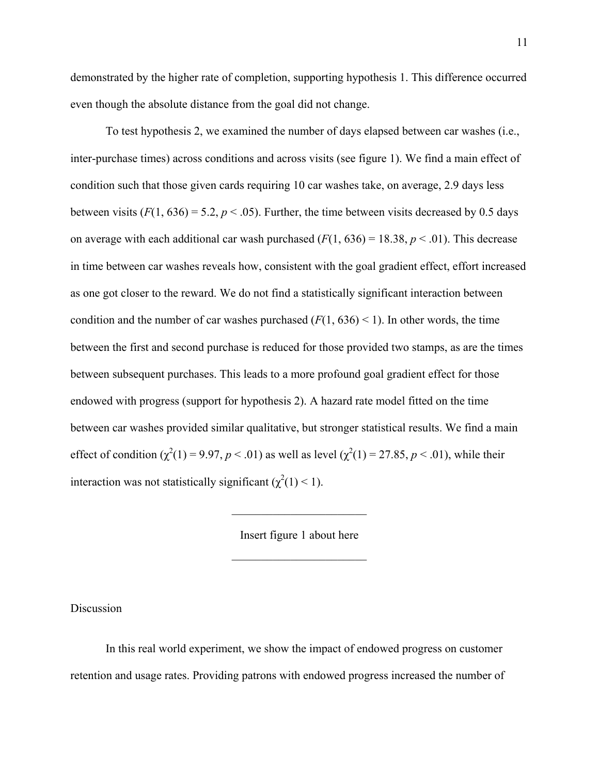demonstrated by the higher rate of completion, supporting hypothesis 1. This difference occurred even though the absolute distance from the goal did not change.

To test hypothesis 2, we examined the number of days elapsed between car washes (i.e., inter-purchase times) across conditions and across visits (see figure 1). We find a main effect of condition such that those given cards requiring 10 car washes take, on average, 2.9 days less between visits  $(F(1, 636) = 5.2, p < .05)$ . Further, the time between visits decreased by 0.5 days on average with each additional car wash purchased  $(F(1, 636) = 18.38, p < .01)$ . This decrease in time between car washes reveals how, consistent with the goal gradient effect, effort increased as one got closer to the reward. We do not find a statistically significant interaction between condition and the number of car washes purchased  $(F(1, 636) < 1)$ . In other words, the time between the first and second purchase is reduced for those provided two stamps, as are the times between subsequent purchases. This leads to a more profound goal gradient effect for those endowed with progress (support for hypothesis 2). A hazard rate model fitted on the time between car washes provided similar qualitative, but stronger statistical results. We find a main effect of condition  $(\chi^2(1) = 9.97, p < .01)$  as well as level  $(\chi^2(1) = 27.85, p < .01)$ , while their interaction was not statistically significant  $(\chi^2(1) < 1)$ .

> Insert figure 1 about here  $\mathcal{L}_\text{max}$  , where  $\mathcal{L}_\text{max}$  , we have the set of  $\mathcal{L}_\text{max}$

> $\mathcal{L}_\text{max}$  , where  $\mathcal{L}_\text{max}$  , we have the set of  $\mathcal{L}_\text{max}$

Discussion

In this real world experiment, we show the impact of endowed progress on customer retention and usage rates. Providing patrons with endowed progress increased the number of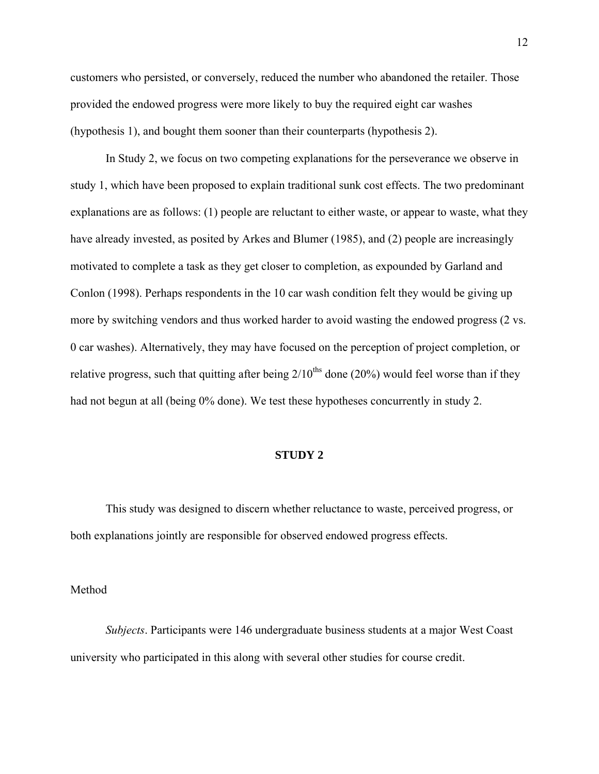customers who persisted, or conversely, reduced the number who abandoned the retailer. Those provided the endowed progress were more likely to buy the required eight car washes (hypothesis 1), and bought them sooner than their counterparts (hypothesis 2).

 In Study 2, we focus on two competing explanations for the perseverance we observe in study 1, which have been proposed to explain traditional sunk cost effects. The two predominant explanations are as follows: (1) people are reluctant to either waste, or appear to waste, what they have already invested, as posited by Arkes and Blumer (1985), and (2) people are increasingly motivated to complete a task as they get closer to completion, as expounded by Garland and Conlon (1998). Perhaps respondents in the 10 car wash condition felt they would be giving up more by switching vendors and thus worked harder to avoid wasting the endowed progress (2 vs. 0 car washes). Alternatively, they may have focused on the perception of project completion, or relative progress, such that quitting after being  $2/10^{ths}$  done (20%) would feel worse than if they had not begun at all (being 0% done). We test these hypotheses concurrently in study 2.

#### **STUDY 2**

This study was designed to discern whether reluctance to waste, perceived progress, or both explanations jointly are responsible for observed endowed progress effects.

Method

*Subjects*. Participants were 146 undergraduate business students at a major West Coast university who participated in this along with several other studies for course credit.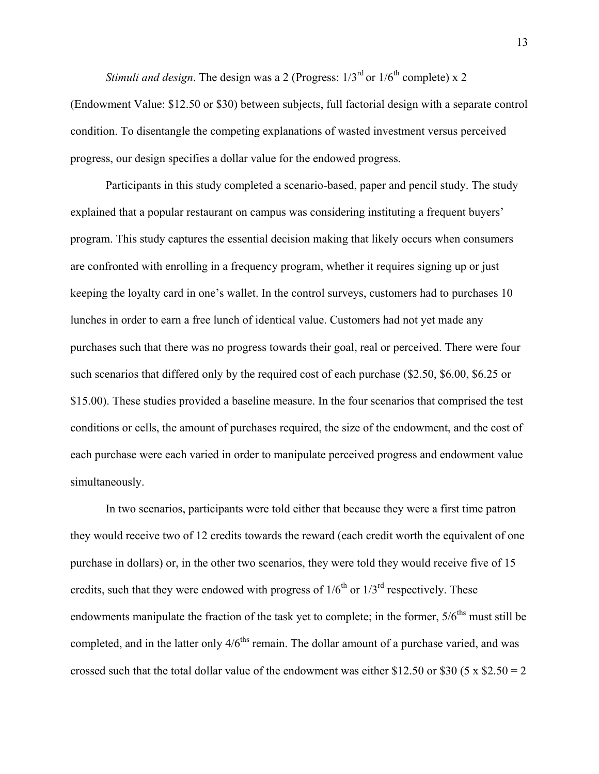*Stimuli and design.* The design was a 2 (Progress:  $1/3^{rd}$  or  $1/6^{th}$  complete) x 2 (Endowment Value: \$12.50 or \$30) between subjects, full factorial design with a separate control

condition. To disentangle the competing explanations of wasted investment versus perceived progress, our design specifies a dollar value for the endowed progress.

Participants in this study completed a scenario-based, paper and pencil study. The study explained that a popular restaurant on campus was considering instituting a frequent buyers' program. This study captures the essential decision making that likely occurs when consumers are confronted with enrolling in a frequency program, whether it requires signing up or just keeping the loyalty card in one's wallet. In the control surveys, customers had to purchases 10 lunches in order to earn a free lunch of identical value. Customers had not yet made any purchases such that there was no progress towards their goal, real or perceived. There were four such scenarios that differed only by the required cost of each purchase (\$2.50, \$6.00, \$6.25 or \$15.00). These studies provided a baseline measure. In the four scenarios that comprised the test conditions or cells, the amount of purchases required, the size of the endowment, and the cost of each purchase were each varied in order to manipulate perceived progress and endowment value simultaneously.

In two scenarios, participants were told either that because they were a first time patron they would receive two of 12 credits towards the reward (each credit worth the equivalent of one purchase in dollars) or, in the other two scenarios, they were told they would receive five of 15 credits, such that they were endowed with progress of  $1/6^{th}$  or  $1/3^{rd}$  respectively. These endowments manipulate the fraction of the task yet to complete; in the former,  $5/6<sup>ths</sup>$  must still be completed, and in the latter only  $4/6<sup>ths</sup>$  remain. The dollar amount of a purchase varied, and was crossed such that the total dollar value of the endowment was either \$12.50 or \$30 (5 x \$2.50 = 2)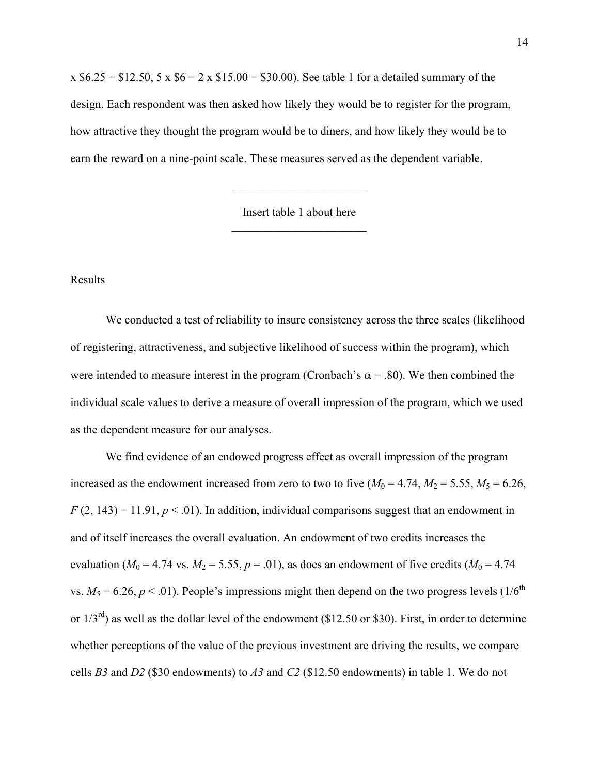$x $6.25 = $12.50, 5 \times $6 = 2 \times $15.00 = $30.00$ . See table 1 for a detailed summary of the design. Each respondent was then asked how likely they would be to register for the program, how attractive they thought the program would be to diners, and how likely they would be to earn the reward on a nine-point scale. These measures served as the dependent variable.

> Insert table 1 about here  $\mathcal{L}_\text{max}$  , where  $\mathcal{L}_\text{max}$  , we have the set of  $\mathcal{L}_\text{max}$

> $\mathcal{L}_\text{max}$  , where  $\mathcal{L}_\text{max}$  , we have the set of  $\mathcal{L}_\text{max}$

## Results

 We conducted a test of reliability to insure consistency across the three scales (likelihood of registering, attractiveness, and subjective likelihood of success within the program), which were intended to measure interest in the program (Cronbach's  $\alpha$  = .80). We then combined the individual scale values to derive a measure of overall impression of the program, which we used as the dependent measure for our analyses.

 We find evidence of an endowed progress effect as overall impression of the program increased as the endowment increased from zero to two to five  $(M_0 = 4.74, M_2 = 5.55, M_5 = 6.26,$  $F(2, 143) = 11.91, p < .01$ ). In addition, individual comparisons suggest that an endowment in and of itself increases the overall evaluation. An endowment of two credits increases the evaluation ( $M_0 = 4.74$  vs.  $M_2 = 5.55$ ,  $p = .01$ ), as does an endowment of five credits ( $M_0 = 4.74$ vs.  $M_5 = 6.26$ ,  $p < .01$ ). People's impressions might then depend on the two progress levels (1/6<sup>th</sup>) or  $1/3^{rd}$ ) as well as the dollar level of the endowment (\$12.50 or \$30). First, in order to determine whether perceptions of the value of the previous investment are driving the results, we compare cells *B3* and *D2* (\$30 endowments) to *A3* and *C2* (\$12.50 endowments) in table 1. We do not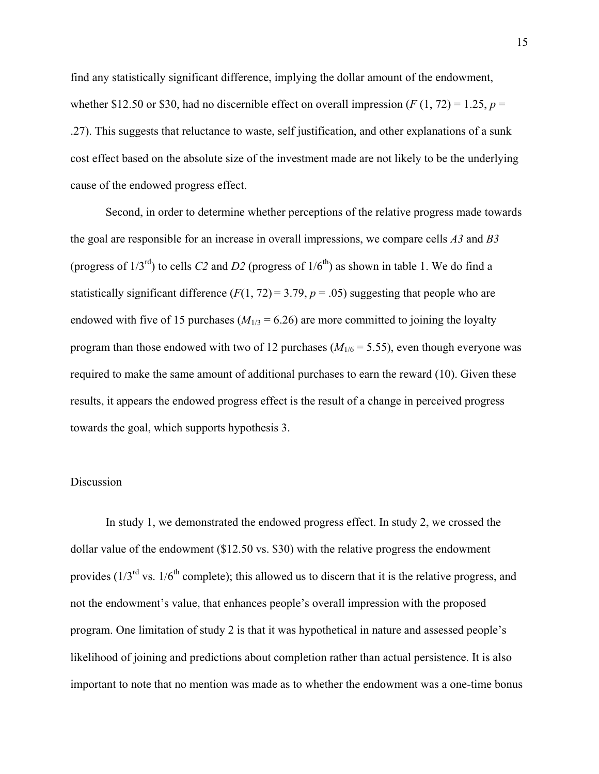find any statistically significant difference, implying the dollar amount of the endowment, whether \$12.50 or \$30, had no discernible effect on overall impression  $(F(1, 72) = 1.25, p =$ .27). This suggests that reluctance to waste, self justification, and other explanations of a sunk cost effect based on the absolute size of the investment made are not likely to be the underlying cause of the endowed progress effect.

 Second, in order to determine whether perceptions of the relative progress made towards the goal are responsible for an increase in overall impressions, we compare cells *A3* and *B3* (progress of  $1/3^{rd}$ ) to cells *C2* and *D2* (progress of  $1/6^{th}$ ) as shown in table 1. We do find a statistically significant difference  $(F(1, 72) = 3.79, p = .05)$  suggesting that people who are endowed with five of 15 purchases  $(M_{1/3} = 6.26)$  are more committed to joining the loyalty program than those endowed with two of 12 purchases  $(M_{1/6} = 5.55)$ , even though everyone was required to make the same amount of additional purchases to earn the reward (10). Given these results, it appears the endowed progress effect is the result of a change in perceived progress towards the goal, which supports hypothesis 3.

#### Discussion

In study 1, we demonstrated the endowed progress effect. In study 2, we crossed the dollar value of the endowment (\$12.50 vs. \$30) with the relative progress the endowment provides  $(1/3<sup>rd</sup>$  vs.  $1/6<sup>th</sup>$  complete); this allowed us to discern that it is the relative progress, and not the endowment's value, that enhances people's overall impression with the proposed program. One limitation of study 2 is that it was hypothetical in nature and assessed people's likelihood of joining and predictions about completion rather than actual persistence. It is also important to note that no mention was made as to whether the endowment was a one-time bonus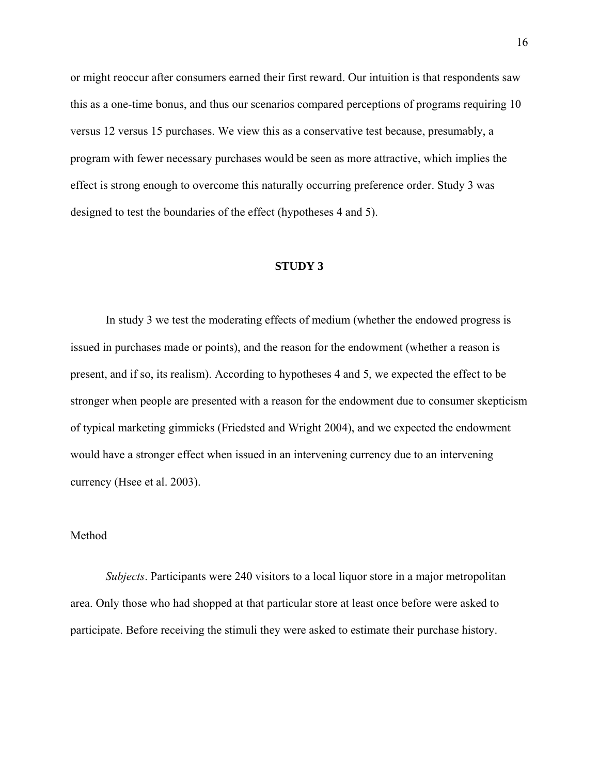or might reoccur after consumers earned their first reward. Our intuition is that respondents saw this as a one-time bonus, and thus our scenarios compared perceptions of programs requiring 10 versus 12 versus 15 purchases. We view this as a conservative test because, presumably, a program with fewer necessary purchases would be seen as more attractive, which implies the effect is strong enough to overcome this naturally occurring preference order. Study 3 was designed to test the boundaries of the effect (hypotheses 4 and 5).

#### **STUDY 3**

In study 3 we test the moderating effects of medium (whether the endowed progress is issued in purchases made or points), and the reason for the endowment (whether a reason is present, and if so, its realism). According to hypotheses 4 and 5, we expected the effect to be stronger when people are presented with a reason for the endowment due to consumer skepticism of typical marketing gimmicks (Friedsted and Wright 2004), and we expected the endowment would have a stronger effect when issued in an intervening currency due to an intervening currency (Hsee et al. 2003).

### Method

*Subjects*. Participants were 240 visitors to a local liquor store in a major metropolitan area. Only those who had shopped at that particular store at least once before were asked to participate. Before receiving the stimuli they were asked to estimate their purchase history.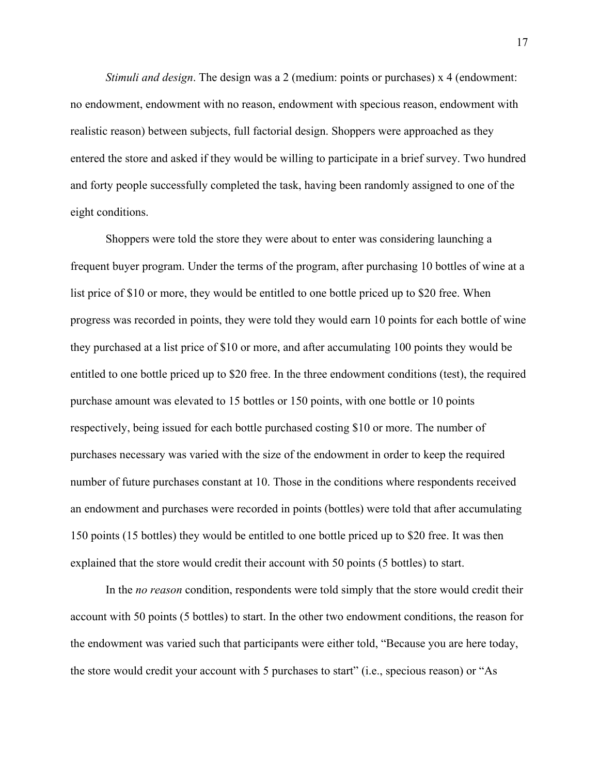*Stimuli and design*. The design was a 2 (medium: points or purchases) x 4 (endowment: no endowment, endowment with no reason, endowment with specious reason, endowment with realistic reason) between subjects, full factorial design. Shoppers were approached as they entered the store and asked if they would be willing to participate in a brief survey. Two hundred and forty people successfully completed the task, having been randomly assigned to one of the eight conditions.

Shoppers were told the store they were about to enter was considering launching a frequent buyer program. Under the terms of the program, after purchasing 10 bottles of wine at a list price of \$10 or more, they would be entitled to one bottle priced up to \$20 free. When progress was recorded in points, they were told they would earn 10 points for each bottle of wine they purchased at a list price of \$10 or more, and after accumulating 100 points they would be entitled to one bottle priced up to \$20 free. In the three endowment conditions (test), the required purchase amount was elevated to 15 bottles or 150 points, with one bottle or 10 points respectively, being issued for each bottle purchased costing \$10 or more. The number of purchases necessary was varied with the size of the endowment in order to keep the required number of future purchases constant at 10. Those in the conditions where respondents received an endowment and purchases were recorded in points (bottles) were told that after accumulating 150 points (15 bottles) they would be entitled to one bottle priced up to \$20 free. It was then explained that the store would credit their account with 50 points (5 bottles) to start.

In the *no reason* condition, respondents were told simply that the store would credit their account with 50 points (5 bottles) to start. In the other two endowment conditions, the reason for the endowment was varied such that participants were either told, "Because you are here today, the store would credit your account with 5 purchases to start" (i.e., specious reason) or "As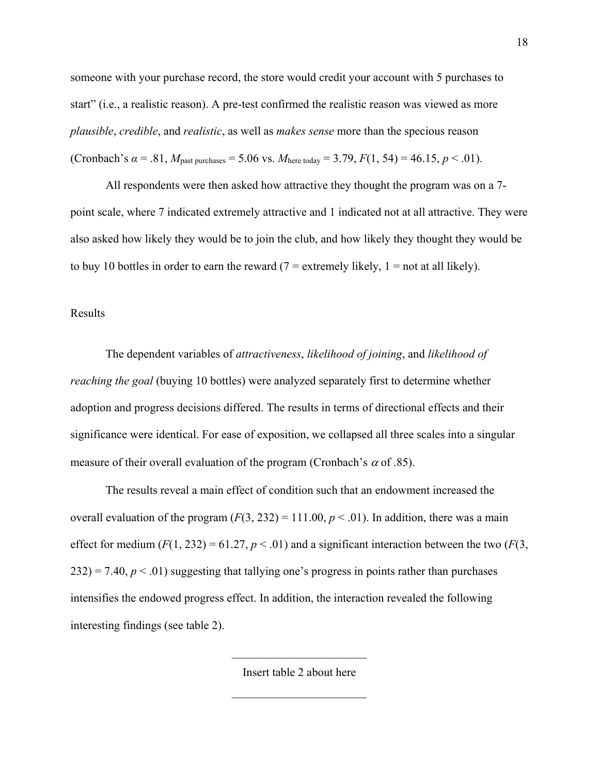someone with your purchase record, the store would credit your account with 5 purchases to start" (i.e., a realistic reason). A pre-test confirmed the realistic reason was viewed as more *plausible*, *credible*, and *realistic*, as well as *makes sense* more than the specious reason (Cronbach's  $\alpha$  = .81,  $M_{\text{past purchases}}$  = 5.06 vs.  $M_{\text{here today}}$  = 3.79,  $F(1, 54)$  = 46.15,  $p < .01$ ).

All respondents were then asked how attractive they thought the program was on a 7 point scale, where 7 indicated extremely attractive and 1 indicated not at all attractive. They were also asked how likely they would be to join the club, and how likely they thought they would be to buy 10 bottles in order to earn the reward ( $7$  = extremely likely,  $1$  = not at all likely).

## Results

 The dependent variables of *attractiveness*, *likelihood of joining*, and *likelihood of reaching the goal* (buying 10 bottles) were analyzed separately first to determine whether adoption and progress decisions differed. The results in terms of directional effects and their significance were identical. For ease of exposition, we collapsed all three scales into a singular measure of their overall evaluation of the program (Cronbach's  $\alpha$  of .85).

 The results reveal a main effect of condition such that an endowment increased the overall evaluation of the program  $(F(3, 232) = 111.00, p \lt 0.01)$ . In addition, there was a main effect for medium  $(F(1, 232) = 61.27, p < .01)$  and a significant interaction between the two  $(F(3, 1232))$  $232$ ) = 7.40,  $p < 01$ ) suggesting that tallying one's progress in points rather than purchases intensifies the endowed progress effect. In addition, the interaction revealed the following interesting findings (see table 2).

Insert table 2 about here

 $\mathcal{L}_\text{max}$  , where  $\mathcal{L}_\text{max}$  , we have the set of  $\mathcal{L}_\text{max}$ 

 $\mathcal{L}_\text{max}$  , where  $\mathcal{L}_\text{max}$  , we have the set of  $\mathcal{L}_\text{max}$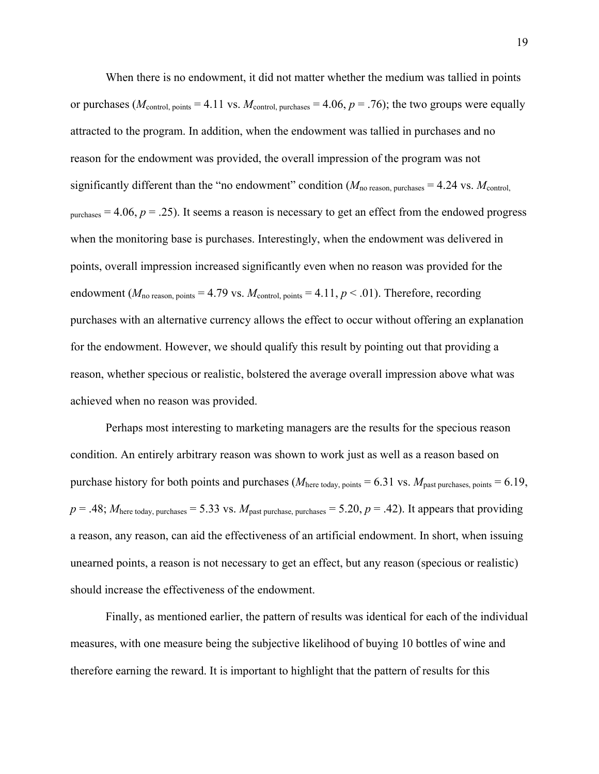When there is no endowment, it did not matter whether the medium was tallied in points or purchases ( $M_{\text{control, points}} = 4.11$  vs.  $M_{\text{control, purchases}} = 4.06$ ,  $p = .76$ ); the two groups were equally attracted to the program. In addition, when the endowment was tallied in purchases and no reason for the endowment was provided, the overall impression of the program was not significantly different than the "no endowment" condition  $(M_{\text{no reason. purchases}} = 4.24 \text{ vs. } M_{\text{control}})$  $p$ <sub>purchases</sub> = 4.06,  $p = .25$ ). It seems a reason is necessary to get an effect from the endowed progress when the monitoring base is purchases. Interestingly, when the endowment was delivered in points, overall impression increased significantly even when no reason was provided for the endowment ( $M_{\text{no reason, points}} = 4.79$  vs.  $M_{\text{control, points}} = 4.11, p < .01$ ). Therefore, recording purchases with an alternative currency allows the effect to occur without offering an explanation for the endowment. However, we should qualify this result by pointing out that providing a reason, whether specious or realistic, bolstered the average overall impression above what was achieved when no reason was provided.

Perhaps most interesting to marketing managers are the results for the specious reason condition. An entirely arbitrary reason was shown to work just as well as a reason based on purchase history for both points and purchases ( $M_{\text{here today, points}} = 6.31$  vs.  $M_{\text{past purchases, points}} = 6.19$ ,  $p = .48$ ;  $M<sub>here today, purchase</sub> = 5.33$  vs.  $M<sub>past purchase, purchase</sub> = 5.20, p = .42$ ). It appears that providing a reason, any reason, can aid the effectiveness of an artificial endowment. In short, when issuing unearned points, a reason is not necessary to get an effect, but any reason (specious or realistic) should increase the effectiveness of the endowment.

 Finally, as mentioned earlier, the pattern of results was identical for each of the individual measures, with one measure being the subjective likelihood of buying 10 bottles of wine and therefore earning the reward. It is important to highlight that the pattern of results for this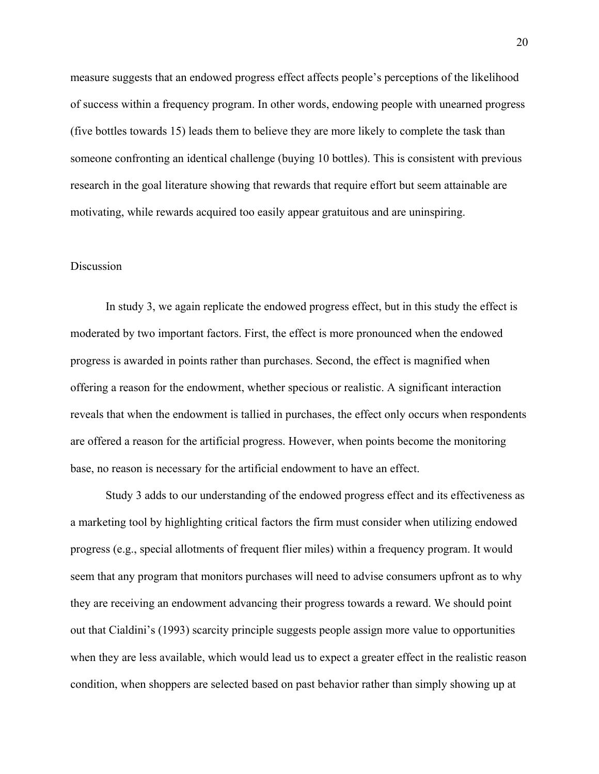measure suggests that an endowed progress effect affects people's perceptions of the likelihood of success within a frequency program. In other words, endowing people with unearned progress (five bottles towards 15) leads them to believe they are more likely to complete the task than someone confronting an identical challenge (buying 10 bottles). This is consistent with previous research in the goal literature showing that rewards that require effort but seem attainable are motivating, while rewards acquired too easily appear gratuitous and are uninspiring.

### **Discussion**

In study 3, we again replicate the endowed progress effect, but in this study the effect is moderated by two important factors. First, the effect is more pronounced when the endowed progress is awarded in points rather than purchases. Second, the effect is magnified when offering a reason for the endowment, whether specious or realistic. A significant interaction reveals that when the endowment is tallied in purchases, the effect only occurs when respondents are offered a reason for the artificial progress. However, when points become the monitoring base, no reason is necessary for the artificial endowment to have an effect.

Study 3 adds to our understanding of the endowed progress effect and its effectiveness as a marketing tool by highlighting critical factors the firm must consider when utilizing endowed progress (e.g., special allotments of frequent flier miles) within a frequency program. It would seem that any program that monitors purchases will need to advise consumers upfront as to why they are receiving an endowment advancing their progress towards a reward. We should point out that Cialdini's (1993) scarcity principle suggests people assign more value to opportunities when they are less available, which would lead us to expect a greater effect in the realistic reason condition, when shoppers are selected based on past behavior rather than simply showing up at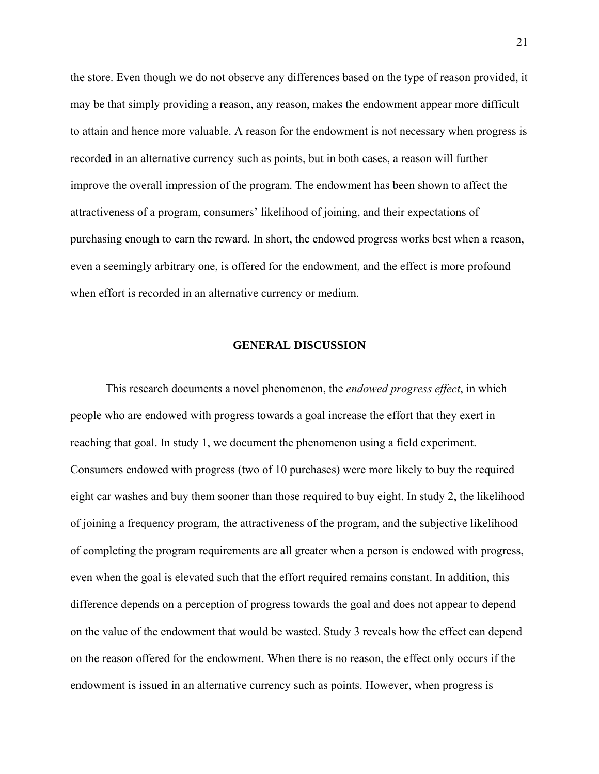the store. Even though we do not observe any differences based on the type of reason provided, it may be that simply providing a reason, any reason, makes the endowment appear more difficult to attain and hence more valuable. A reason for the endowment is not necessary when progress is recorded in an alternative currency such as points, but in both cases, a reason will further improve the overall impression of the program. The endowment has been shown to affect the attractiveness of a program, consumers' likelihood of joining, and their expectations of purchasing enough to earn the reward. In short, the endowed progress works best when a reason, even a seemingly arbitrary one, is offered for the endowment, and the effect is more profound when effort is recorded in an alternative currency or medium.

## **GENERAL DISCUSSION**

This research documents a novel phenomenon, the *endowed progress effect*, in which people who are endowed with progress towards a goal increase the effort that they exert in reaching that goal. In study 1, we document the phenomenon using a field experiment. Consumers endowed with progress (two of 10 purchases) were more likely to buy the required eight car washes and buy them sooner than those required to buy eight. In study 2, the likelihood of joining a frequency program, the attractiveness of the program, and the subjective likelihood of completing the program requirements are all greater when a person is endowed with progress, even when the goal is elevated such that the effort required remains constant. In addition, this difference depends on a perception of progress towards the goal and does not appear to depend on the value of the endowment that would be wasted. Study 3 reveals how the effect can depend on the reason offered for the endowment. When there is no reason, the effect only occurs if the endowment is issued in an alternative currency such as points. However, when progress is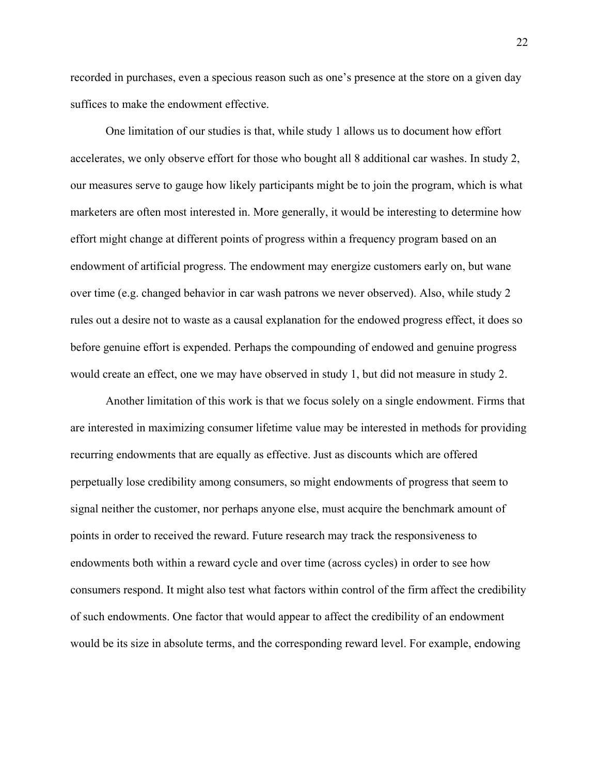recorded in purchases, even a specious reason such as one's presence at the store on a given day suffices to make the endowment effective.

One limitation of our studies is that, while study 1 allows us to document how effort accelerates, we only observe effort for those who bought all 8 additional car washes. In study 2, our measures serve to gauge how likely participants might be to join the program, which is what marketers are often most interested in. More generally, it would be interesting to determine how effort might change at different points of progress within a frequency program based on an endowment of artificial progress. The endowment may energize customers early on, but wane over time (e.g. changed behavior in car wash patrons we never observed). Also, while study 2 rules out a desire not to waste as a causal explanation for the endowed progress effect, it does so before genuine effort is expended. Perhaps the compounding of endowed and genuine progress would create an effect, one we may have observed in study 1, but did not measure in study 2.

Another limitation of this work is that we focus solely on a single endowment. Firms that are interested in maximizing consumer lifetime value may be interested in methods for providing recurring endowments that are equally as effective. Just as discounts which are offered perpetually lose credibility among consumers, so might endowments of progress that seem to signal neither the customer, nor perhaps anyone else, must acquire the benchmark amount of points in order to received the reward. Future research may track the responsiveness to endowments both within a reward cycle and over time (across cycles) in order to see how consumers respond. It might also test what factors within control of the firm affect the credibility of such endowments. One factor that would appear to affect the credibility of an endowment would be its size in absolute terms, and the corresponding reward level. For example, endowing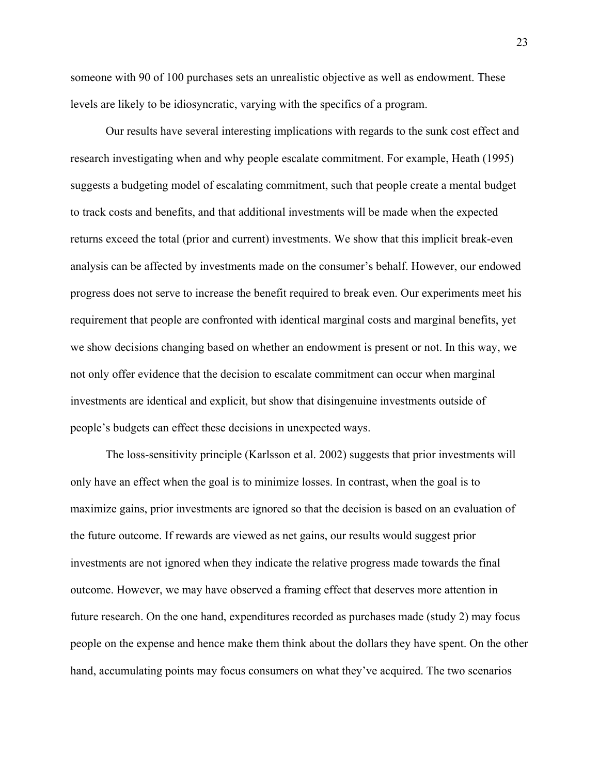someone with 90 of 100 purchases sets an unrealistic objective as well as endowment. These levels are likely to be idiosyncratic, varying with the specifics of a program.

Our results have several interesting implications with regards to the sunk cost effect and research investigating when and why people escalate commitment. For example, Heath (1995) suggests a budgeting model of escalating commitment, such that people create a mental budget to track costs and benefits, and that additional investments will be made when the expected returns exceed the total (prior and current) investments. We show that this implicit break-even analysis can be affected by investments made on the consumer's behalf. However, our endowed progress does not serve to increase the benefit required to break even. Our experiments meet his requirement that people are confronted with identical marginal costs and marginal benefits, yet we show decisions changing based on whether an endowment is present or not. In this way, we not only offer evidence that the decision to escalate commitment can occur when marginal investments are identical and explicit, but show that disingenuine investments outside of people's budgets can effect these decisions in unexpected ways.

The loss-sensitivity principle (Karlsson et al. 2002) suggests that prior investments will only have an effect when the goal is to minimize losses. In contrast, when the goal is to maximize gains, prior investments are ignored so that the decision is based on an evaluation of the future outcome. If rewards are viewed as net gains, our results would suggest prior investments are not ignored when they indicate the relative progress made towards the final outcome. However, we may have observed a framing effect that deserves more attention in future research. On the one hand, expenditures recorded as purchases made (study 2) may focus people on the expense and hence make them think about the dollars they have spent. On the other hand, accumulating points may focus consumers on what they've acquired. The two scenarios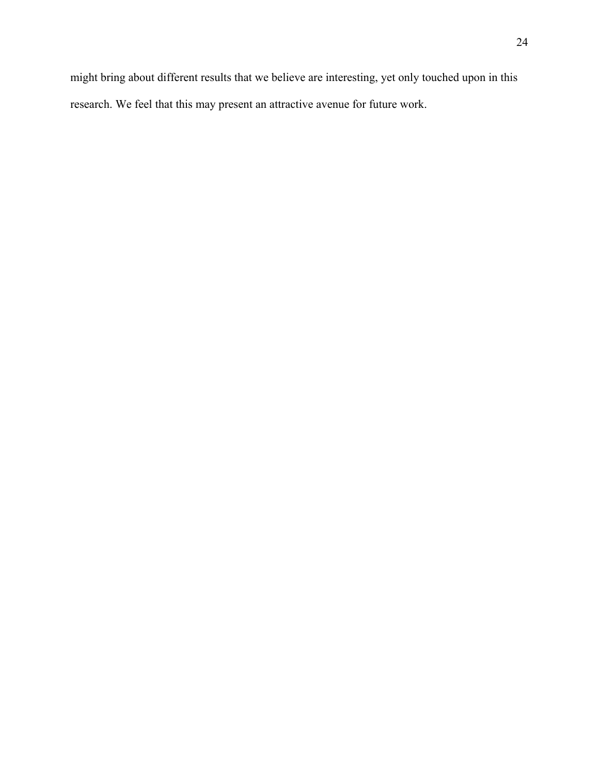might bring about different results that we believe are interesting, yet only touched upon in this research. We feel that this may present an attractive avenue for future work.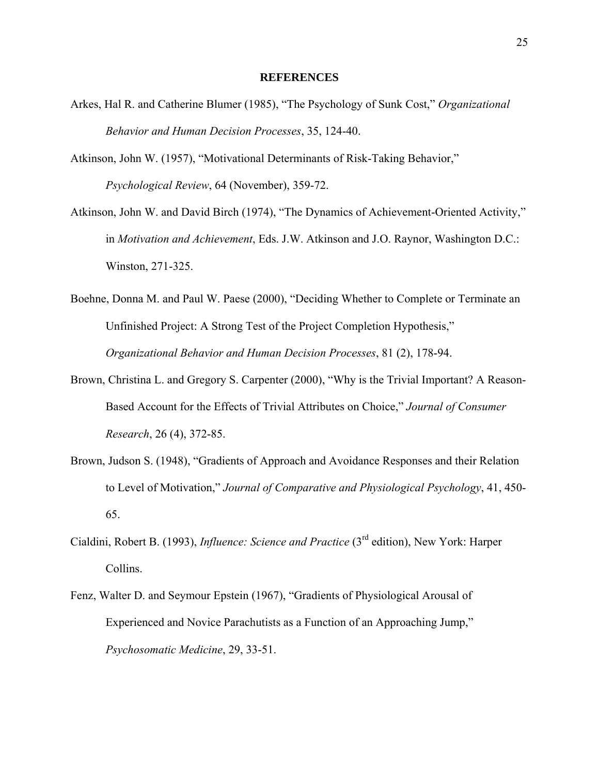#### **REFERENCES**

- Arkes, Hal R. and Catherine Blumer (1985), "The Psychology of Sunk Cost," *Organizational Behavior and Human Decision Processes*, 35, 124-40.
- Atkinson, John W. (1957), "Motivational Determinants of Risk-Taking Behavior," *Psychological Review*, 64 (November), 359-72.
- Atkinson, John W. and David Birch (1974), "The Dynamics of Achievement-Oriented Activity," in *Motivation and Achievement*, Eds. J.W. Atkinson and J.O. Raynor, Washington D.C.: Winston, 271-325.
- Boehne, Donna M. and Paul W. Paese (2000), "Deciding Whether to Complete or Terminate an Unfinished Project: A Strong Test of the Project Completion Hypothesis," *Organizational Behavior and Human Decision Processes*, 81 (2), 178-94.
- Brown, Christina L. and Gregory S. Carpenter (2000), "Why is the Trivial Important? A Reason-Based Account for the Effects of Trivial Attributes on Choice," *Journal of Consumer Research*, 26 (4), 372-85.
- Brown, Judson S. (1948), "Gradients of Approach and Avoidance Responses and their Relation to Level of Motivation," *Journal of Comparative and Physiological Psychology*, 41, 450- 65.
- Cialdini, Robert B. (1993), *Influence: Science and Practice* (3rd edition), New York: Harper Collins.
- Fenz, Walter D. and Seymour Epstein (1967), "Gradients of Physiological Arousal of Experienced and Novice Parachutists as a Function of an Approaching Jump," *Psychosomatic Medicine*, 29, 33-51.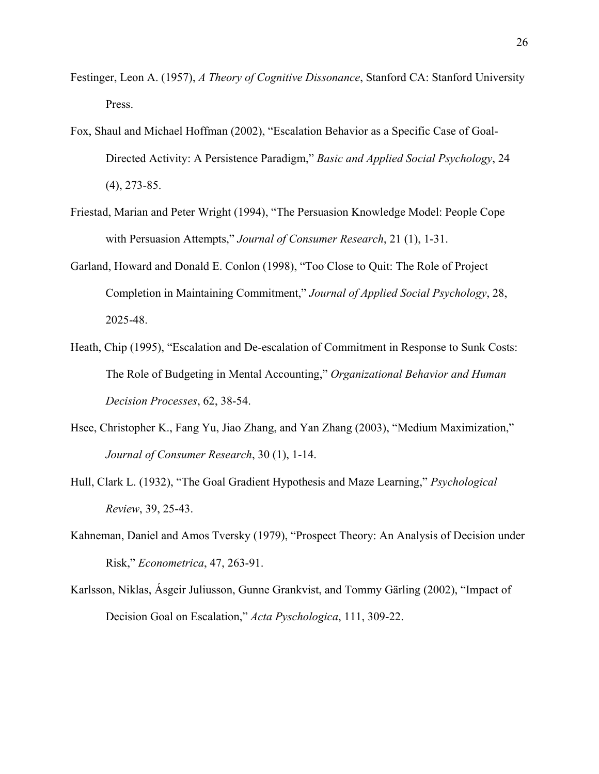- Festinger, Leon A. (1957), *A Theory of Cognitive Dissonance*, Stanford CA: Stanford University Press.
- Fox, Shaul and Michael Hoffman (2002), "Escalation Behavior as a Specific Case of Goal-Directed Activity: A Persistence Paradigm," *Basic and Applied Social Psychology*, 24 (4), 273-85.
- Friestad, Marian and Peter Wright (1994), "The Persuasion Knowledge Model: People Cope with Persuasion Attempts," *Journal of Consumer Research*, 21 (1), 1-31.
- Garland, Howard and Donald E. Conlon (1998), "Too Close to Quit: The Role of Project Completion in Maintaining Commitment," *Journal of Applied Social Psychology*, 28, 2025-48.
- Heath, Chip (1995), "Escalation and De-escalation of Commitment in Response to Sunk Costs: The Role of Budgeting in Mental Accounting," *Organizational Behavior and Human Decision Processes*, 62, 38-54.
- Hsee, Christopher K., Fang Yu, Jiao Zhang, and Yan Zhang (2003), "Medium Maximization," *Journal of Consumer Research*, 30 (1), 1-14.
- Hull, Clark L. (1932), "The Goal Gradient Hypothesis and Maze Learning," *Psychological Review*, 39, 25-43.
- Kahneman, Daniel and Amos Tversky (1979), "Prospect Theory: An Analysis of Decision under Risk," *Econometrica*, 47, 263-91.
- Karlsson, Niklas, Ásgeir Juliusson, Gunne Grankvist, and Tommy Gärling (2002), "Impact of Decision Goal on Escalation," *Acta Pyschologica*, 111, 309-22.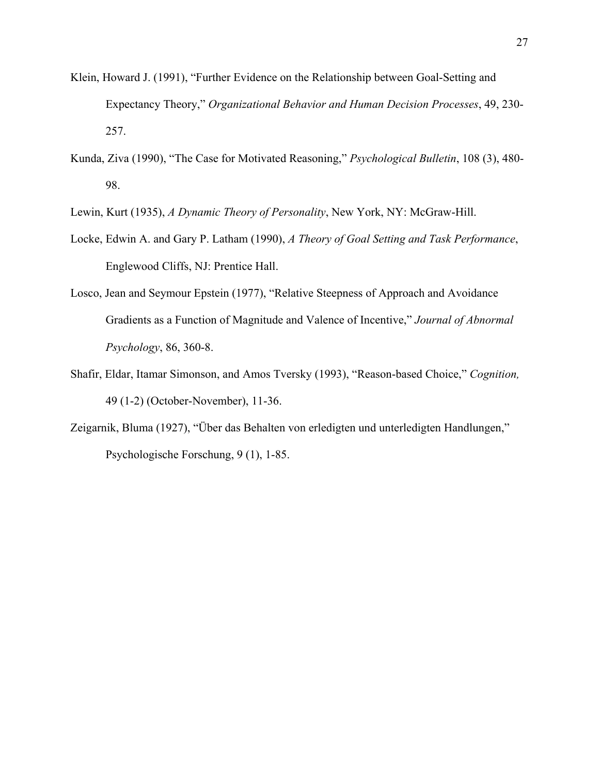- Klein, Howard J. (1991), "Further Evidence on the Relationship between Goal-Setting and Expectancy Theory," *Organizational Behavior and Human Decision Processes*, 49, 230- 257.
- Kunda, Ziva (1990), "The Case for Motivated Reasoning," *Psychological Bulletin*, 108 (3), 480- 98.
- Lewin, Kurt (1935), *A Dynamic Theory of Personality*, New York, NY: McGraw-Hill.
- Locke, Edwin A. and Gary P. Latham (1990), *A Theory of Goal Setting and Task Performance*, Englewood Cliffs, NJ: Prentice Hall.
- Losco, Jean and Seymour Epstein (1977), "Relative Steepness of Approach and Avoidance Gradients as a Function of Magnitude and Valence of Incentive," *Journal of Abnormal Psychology*, 86, 360-8.
- Shafir, Eldar, Itamar Simonson, and Amos Tversky (1993), "Reason-based Choice," *Cognition,* 49 (1-2) (October-November), 11-36.
- Zeigarnik, Bluma (1927), "Über das Behalten von erledigten und unterledigten Handlungen," Psychologische Forschung, 9 (1), 1-85.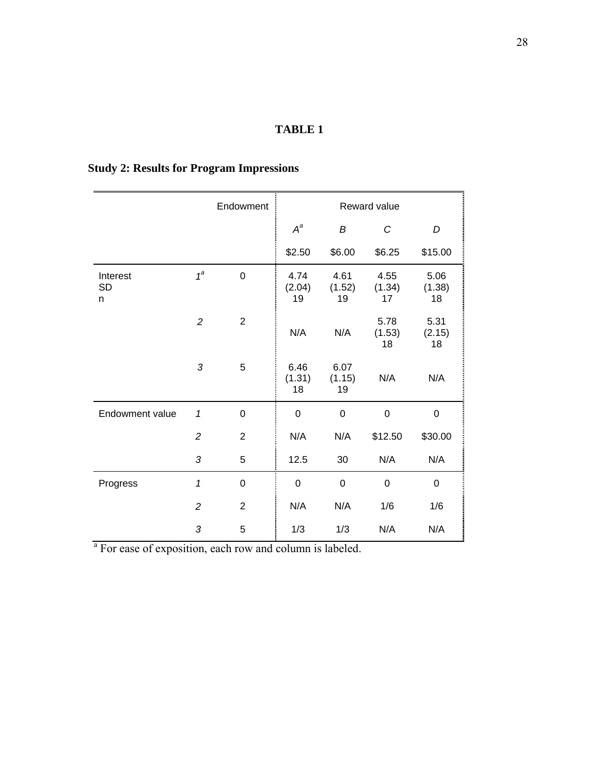# **TABLE 1**

|                            |                | Endowment      | Reward value         |                      |                      |                      |
|----------------------------|----------------|----------------|----------------------|----------------------|----------------------|----------------------|
|                            |                |                | $A^a$                | B                    | C                    | D                    |
|                            |                |                | \$2.50               | \$6.00               | \$6.25               | \$15.00              |
| Interest<br><b>SD</b><br>n | $1^a$          | $\overline{0}$ | 4.74<br>(2.04)<br>19 | 4.61<br>(1.52)<br>19 | 4.55<br>(1.34)<br>17 | 5.06<br>(1.38)<br>18 |
|                            | $\overline{c}$ | $\overline{2}$ | N/A                  | N/A                  | 5.78<br>(1.53)<br>18 | 5.31<br>(2.15)<br>18 |
|                            | 3              | 5              | 6.46<br>(1.31)<br>18 | 6.07<br>(1.15)<br>19 | N/A                  | N/A                  |
| Endowment value            | $\mathbf 1$    | 0              | $\mathbf 0$          | $\mathbf 0$          | $\boldsymbol{0}$     | 0                    |
|                            | $\overline{c}$ | $\overline{2}$ | N/A                  | N/A                  | \$12.50              | \$30.00              |
|                            | 3              | 5              | 12.5                 | 30                   | N/A                  | N/A                  |
| Progress                   | 1              | $\mathbf 0$    | $\mathbf 0$          | $\mathbf 0$          | $\mathbf 0$          | $\mathbf 0$          |
|                            | $\overline{2}$ | $\overline{2}$ | N/A                  | N/A                  | 1/6                  | 1/6                  |
|                            | 3              | 5              | 1/3                  | 1/3                  | N/A                  | N/A                  |

# **Study 2: Results for Program Impressions**

<sup>a</sup> For ease of exposition, each row and column is labeled.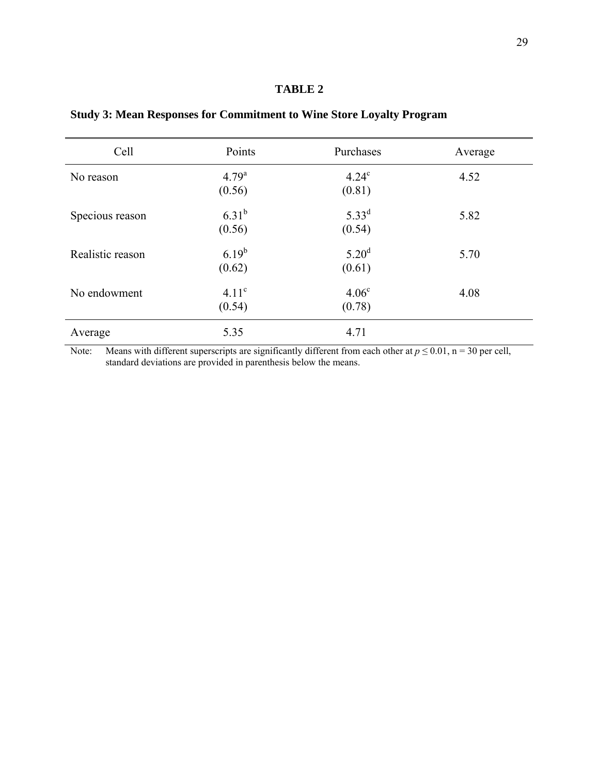# **TABLE 2**

| Cell             | Points                      | Purchases                   | Average |
|------------------|-----------------------------|-----------------------------|---------|
| No reason        | $4.79^{a}$<br>(0.56)        | $4.24^\circ$<br>(0.81)      | 4.52    |
| Specious reason  | $6.31^{b}$<br>(0.56)        | $5.33^{d}$<br>(0.54)        | 5.82    |
| Realistic reason | $6.19^{b}$<br>(0.62)        | $5.20^{\rm d}$<br>(0.61)    | 5.70    |
| No endowment     | 4.11 <sup>c</sup><br>(0.54) | 4.06 <sup>c</sup><br>(0.78) | 4.08    |
| Average          | 5.35                        | 4.71                        |         |

**Study 3: Mean Responses for Commitment to Wine Store Loyalty Program** 

Note: Means with different superscripts are significantly different from each other at  $p \le 0.01$ , n = 30 per cell, standard deviations are provided in parenthesis below the means.